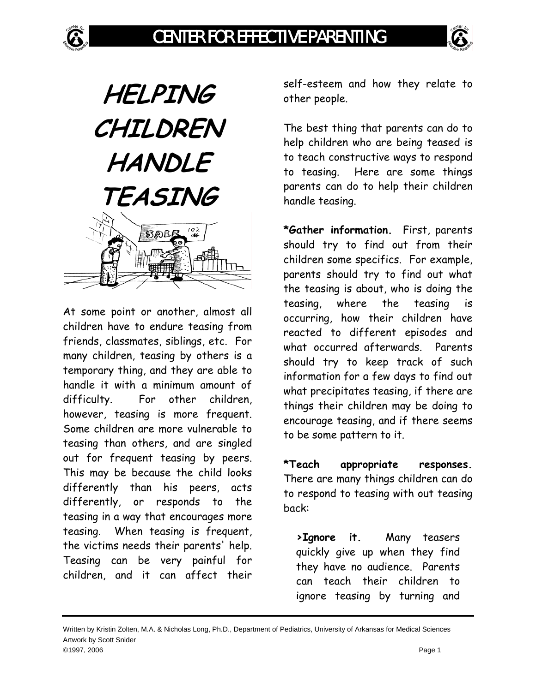

At some point or another, almost all children have to endure teasing from friends, classmates, siblings, etc. For many children, teasing by others is a temporary thing, and they are able to handle it with a minimum amount of difficulty. For other children, however, teasing is more frequent. Some children are more vulnerable to teasing than others, and are singled out for frequent teasing by peers. This may be because the child looks differently than his peers, acts differently, or responds to the teasing in a way that encourages more teasing. When teasing is frequent, the victims needs their parents' help. Teasing can be very painful for children, and it can affect their

self-esteem and how they relate to other people.

The best thing that parents can do to help children who are being teased is to teach constructive ways to respond to teasing. Here are some things parents can do to help their children handle teasing.

**\*Gather information.** First, parents should try to find out from their children some specifics. For example, parents should try to find out what the teasing is about, who is doing the teasing, where the teasing is occurring, how their children have reacted to different episodes and what occurred afterwards. Parents should try to keep track of such information for a few days to find out what precipitates teasing, if there are things their children may be doing to encourage teasing, and if there seems to be some pattern to it.

**\*Teach appropriate responses.** There are many things children can do to respond to teasing with out teasing back:

**>Ignore it.** Many teasers quickly give up when they find they have no audience. Parents can teach their children to ignore teasing by turning and

Written by Kristin Zolten, M.A. & Nicholas Long, Ph.D., Department of Pediatrics, University of Arkansas for Medical Sciences Artwork by Scott Snider ©1997, 2006 Page 1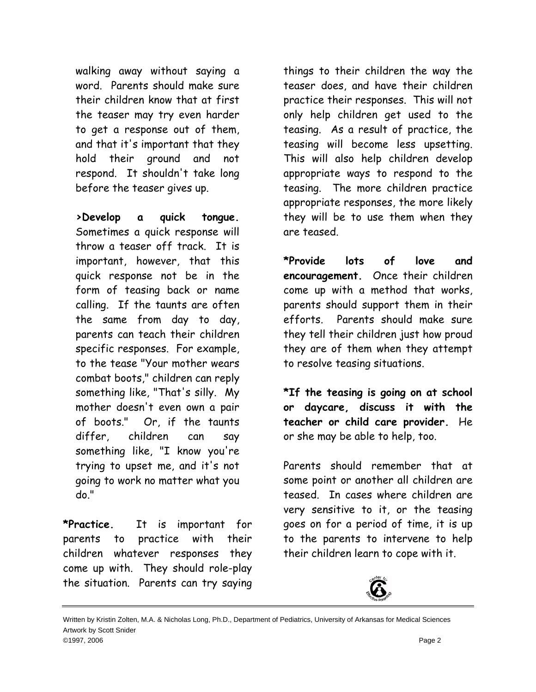walking away without saying a word. Parents should make sure their children know that at first the teaser may try even harder to get a response out of them, and that it's important that they hold their ground and not respond. It shouldn't take long before the teaser gives up.

**>Develop a quick tongue.** Sometimes a quick response will throw a teaser off track. It is important, however, that this quick response not be in the form of teasing back or name calling. If the taunts are often the same from day to day, parents can teach their children specific responses. For example, to the tease "Your mother wears combat boots," children can reply something like, "That's silly. My mother doesn't even own a pair of boots." Or, if the taunts differ, children can say something like, "I know you're trying to upset me, and it's not going to work no matter what you do."

**\*Practice.** It is important for parents to practice with their children whatever responses they come up with. They should role-play the situation. Parents can try saying

things to their children the way the teaser does, and have their children practice their responses. This will not only help children get used to the teasing. As a result of practice, the teasing will become less upsetting. This will also help children develop appropriate ways to respond to the teasing. The more children practice appropriate responses, the more likely they will be to use them when they are teased.

**\*Provide lots of love and encouragement.** Once their children come up with a method that works, parents should support them in their efforts. Parents should make sure they tell their children just how proud they are of them when they attempt to resolve teasing situations.

**\*If the teasing is going on at school or daycare, discuss it with the teacher or child care provider.** He or she may be able to help, too.

Parents should remember that at some point or another all children are teased. In cases where children are very sensitive to it, or the teasing goes on for a period of time, it is up to the parents to intervene to help their children learn to cope with it.



Written by Kristin Zolten, M.A. & Nicholas Long, Ph.D., Department of Pediatrics, University of Arkansas for Medical Sciences Artwork by Scott Snider ©1997, 2006 Page 2